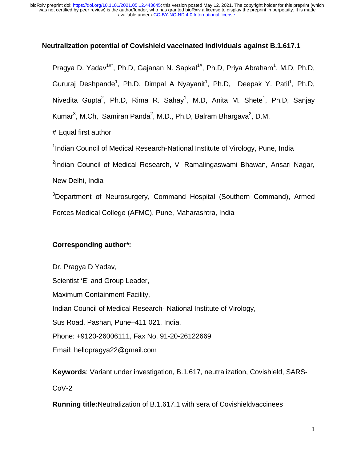### **Neutralization potential of Covishield vaccinated individuals against B.1.617.1**

Pragya D. Yadav<sup>1#\*</sup>, Ph.D, Gajanan N. Sapkal<sup>1#</sup>, Ph.D, Priya Abraham<sup>1</sup>, M.D, Ph.D, Gururaj Deshpande<sup>1</sup>, Ph.D, Dimpal A Nyayanit<sup>1</sup>, Ph.D, Deepak Y. Patil<sup>1</sup>, Ph.D, Nivedita Gupta<sup>2</sup>, Ph.D, Rima R. Sahay<sup>1</sup>, M.D, Anita M. Shete<sup>1</sup>, Ph.D, Sanjay Kumar<sup>3</sup>, M.Ch, Samiran Panda<sup>2</sup>, M.D., Ph.D, Balram Bhargava<sup>2</sup>, D.M.

# Equal first author

<sup>1</sup>Indian Council of Medical Research-National Institute of Virology, Pune, India

<sup>2</sup>Indian Council of Medical Research, V. Ramalingaswami Bhawan, Ansari Nagar, New Delhi, India

<sup>3</sup>Department of Neurosurgery, Command Hospital (Southern Command), Armed Forces Medical College (AFMC), Pune, Maharashtra, India

# **Corresponding author\***:

Dr. Pragya D Yadav, Scientist 'E' and Group Leader, Maximum Containment Facility, Indian Council of Medical Research- National Institute of Virology, Sus Road, Pashan, Pune–411 021, India. Phone: +9120-26006111, Fax No. 91-20-26122669 Email: hellopragya22@gmail.com

**Keywords**: Variant under investigation, B.1.617, neutralization, Covishield, SARS-CoV-2

**Running title:**Neutralization of B.1.617.1 with sera of Covishieldvaccinees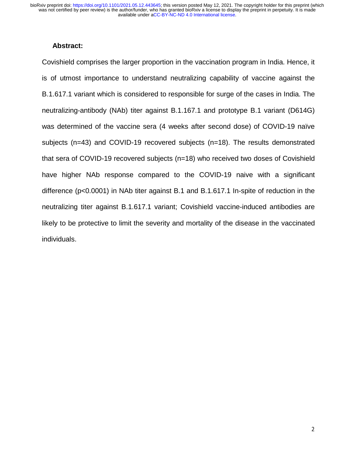#### **Abstract:**

Covishield comprises the larger proportion in the vaccination program in India. Hence, it is of utmost importance to understand neutralizing capability of vaccine against the B.1.617.1 variant which is considered to responsible for surge of the cases in India. The neutralizing-antibody (NAb) titer against B.1.167.1 and prototype B.1 variant (D614G) was determined of the vaccine sera (4 weeks after second dose) of COVID-19 naïve subjects (n=43) and COVID-19 recovered subjects (n=18). The results demonstrated that sera of COVID-19 recovered subjects (n=18) who received two doses of Covishield have higher NAb response compared to the COVID-19 naive with a significant difference (p<0.0001) in NAb titer against B.1 and B.1.617.1 In-spite of reduction in the neutralizing titer against B.1.617.1 variant; Covishield vaccine-induced antibodies are likely to be protective to limit the severity and mortality of the disease in the vaccinated individuals.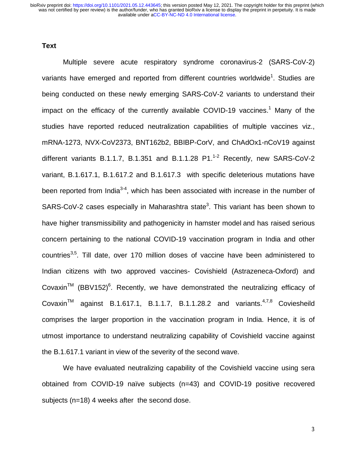#### **Text**

Multiple severe acute respiratory syndrome coronavirus-2 (SARS-CoV-2) variants have emerged and reported from different countries worldwide<sup>1</sup>. Studies are being conducted on these newly emerging SARS-CoV-2 variants to understand their impact on the efficacy of the currently available COVID-19 vaccines.<sup>1</sup> Many of the studies have reported reduced neutralization capabilities of multiple vaccines viz., mRNA-1273, NVX-CoV2373, BNT162b2, BBIBP-CorV, and ChAdOx1-nCoV19 against different variants B.1.1.7, B.1.351 and B.1.1.28  $P1.^{1-2}$  Recently, new SARS-CoV-2 variant, B.1.617.1, B.1.617.2 and B.1.617.3 with specific deleterious mutations have been reported from India<sup>3-4</sup>, which has been associated with increase in the number of SARS-CoV-2 cases especially in Maharashtra state<sup>3</sup>. This variant has been shown to have higher transmissibility and pathogenicity in hamster model and has raised serious concern pertaining to the national COVID-19 vaccination program in India and other countries<sup>3,5</sup>. Till date, over 170 million doses of vaccine have been administered to Indian citizens with two approved vaccines- Covishield (Astrazeneca-Oxford) and Covaxin<sup>TM</sup> (BBV152)<sup>6</sup>. Recently, we have demonstrated the neutralizing efficacy of Covaxin<sup>TM</sup> against B.1.617.1, B.1.1.7, B.1.1.28.2 and variants.<sup>4,7,8</sup> Coviesheild comprises the larger proportion in the vaccination program in India. Hence, it is of utmost importance to understand neutralizing capability of Covishield vaccine against the B.1.617.1 variant in view of the severity of the second wave.

We have evaluated neutralizing capability of the Covishield vaccine using sera obtained from COVID-19 naïve subjects (n=43) and COVID-19 positive recovered subjects (n=18) 4 weeks after the second dose.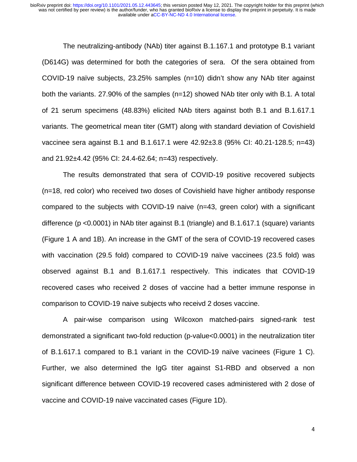The neutralizing-antibody (NAb) titer against B.1.167.1 and prototype B.1 variant (D614G) was determined for both the categories of sera. Of the sera obtained from COVID-19 naïve subjects, 23.25% samples (n=10) didn't show any NAb titer against both the variants. 27.90% of the samples (n=12) showed NAb titer only with B.1. A total of 21 serum specimens (48.83%) elicited NAb titers against both B.1 and B.1.617.1 variants. The geometrical mean titer (GMT) along with standard deviation of Covishield vaccinee sera against B.1 and B.1.617.1 were 42.92±3.8 (95% CI: 40.21-128.5; n=43) and 21.92±4.42 (95% CI: 24.4-62.64; n=43) respectively.

The results demonstrated that sera of COVID-19 positive recovered subjects (n=18, red color) who received two doses of Covishield have higher antibody response compared to the subjects with COVID-19 naive (n=43, green color) with a significant difference (p <0.0001) in NAb titer against B.1 (triangle) and B.1.617.1 (square) variants (Figure 1 A and 1B). An increase in the GMT of the sera of COVID-19 recovered cases with vaccination (29.5 fold) compared to COVID-19 naïve vaccinees (23.5 fold) was observed against B.1 and B.1.617.1 respectively. This indicates that COVID-19 recovered cases who received 2 doses of vaccine had a better immune response in comparison to COVID-19 naive subjects who receivd 2 doses vaccine.

A pair-wise comparison using Wilcoxon matched-pairs signed-rank test demonstrated a significant two-fold reduction (p-value<0.0001) in the neutralization titer of B.1.617.1 compared to B.1 variant in the COVID-19 naïve vacinees (Figure 1 C). Further, we also determined the IgG titer against S1-RBD and observed a non significant difference between COVID-19 recovered cases administered with 2 dose of vaccine and COVID-19 naive vaccinated cases (Figure 1D).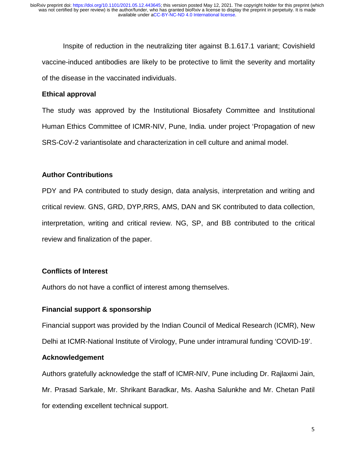Inspite of reduction in the neutralizing titer against B.1.617.1 variant; Covishield vaccine-induced antibodies are likely to be protective to limit the severity and mortality of the disease in the vaccinated individuals.

## **Ethical approval**

The study was approved by the Institutional Biosafety Committee and Institutional Human Ethics Committee of ICMR-NIV, Pune, India. under project 'Propagation of new SRS-CoV-2 variantisolate and characterization in cell culture and animal model.

### **Author Contributions**

PDY and PA contributed to study design, data analysis, interpretation and writing and critical review. GNS, GRD, DYP,RRS, AMS, DAN and SK contributed to data collection, interpretation, writing and critical review. NG, SP, and BB contributed to the critical review and finalization of the paper.

# **Conflicts of Interest**

Authors do not have a conflict of interest among themselves.

# **Financial support & sponsorship**

Financial support was provided by the Indian Council of Medical Research (ICMR), New Delhi at ICMR-National Institute of Virology, Pune under intramural funding 'COVID-19'.

# **Acknowledgement**

Authors gratefully acknowledge the staff of ICMR-NIV, Pune including Dr. Rajlaxmi Jain, Mr. Prasad Sarkale, Mr. Shrikant Baradkar, Ms. Aasha Salunkhe and Mr. Chetan Patil for extending excellent technical support.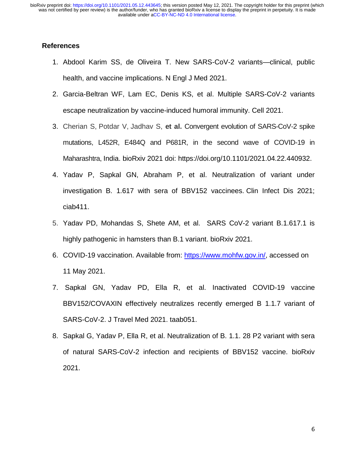### **References**

- 1. Abdool Karim SS, de Oliveira T. New SARS-CoV-2 variants—clinical, public health, and vaccine implications. N Engl J Med 2021.
- 2. Garcia-Beltran WF, Lam EC, Denis KS, et al. Multiple SARS-CoV-2 variants escape neutralization by vaccine-induced humoral immunity. Cell 2021.
- 3. Cherian S, Potdar V, Jadhav S, **et al.** Convergent evolution of SARS-CoV-2 spike mutations, L452R, E484Q and P681R, in the second wave of COVID-19 in Maharashtra, India. bioRxiv 2021 doi: https://doi.org/10.1101/2021.04.22.440932.
- 4. Yadav P, Sapkal GN, Abraham P, et al. Neutralization of variant under investigation B. 1.617 with sera of BBV152 vaccinees. Clin Infect Dis 2021; ciab411.
- 5. Yadav PD, Mohandas S, Shete AM, et al. SARS CoV-2 variant B.1.617.1 is highly pathogenic in hamsters than B.1 variant. bioRxiv 2021.
- 6. COVID-19 vaccination. Available from: https://www.mohfw.gov.in/, accessed on 11 May 2021.
- 7. Sapkal GN, Yadav PD, Ella R, et al. Inactivated COVID-19 vaccine BBV152/COVAXIN effectively neutralizes recently emerged B 1.1.7 variant of SARS-CoV-2. J Travel Med 2021. taab051.
- 8. Sapkal G, Yadav P, Ella R, et al. Neutralization of B. 1.1. 28 P2 variant with sera of natural SARS-CoV-2 infection and recipients of BBV152 vaccine. bioRxiv 2021.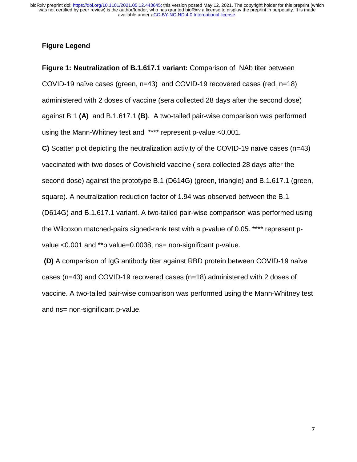### **Figure Legend**

**Figure 1: Neutralization of B.1.617.1 variant:** Comparison of NAb titer between COVID-19 naïve cases (green, n=43) and COVID-19 recovered cases (red, n=18) administered with 2 doses of vaccine (sera collected 28 days after the second dose) against B.1 **(A)** and B.1.617.1 **(B)**. A two-tailed pair-wise comparison was performed using the Mann-Whitney test and \*\*\*\* represent p-value <0.001.

**C)** Scatter plot depicting the neutralization activity of the COVID-19 naïve cases (n=43) vaccinated with two doses of Covishield vaccine ( sera collected 28 days after the second dose) against the prototype B.1 (D614G) (green, triangle) and B.1.617.1 (green, square). A neutralization reduction factor of 1.94 was observed between the B.1 (D614G) and B.1.617.1 variant. A two-tailed pair-wise comparison was performed using the Wilcoxon matched-pairs signed-rank test with a p-value of 0.05. \*\*\*\* represent pvalue <0.001 and \*\*p value=0.0038, ns= non-significant p-value.

 **(D)** A comparison of IgG antibody titer against RBD protein between COVID-19 naïve cases (n=43) and COVID-19 recovered cases (n=18) administered with 2 doses of vaccine. A two-tailed pair-wise comparison was performed using the Mann-Whitney test and ns= non-significant p-value.